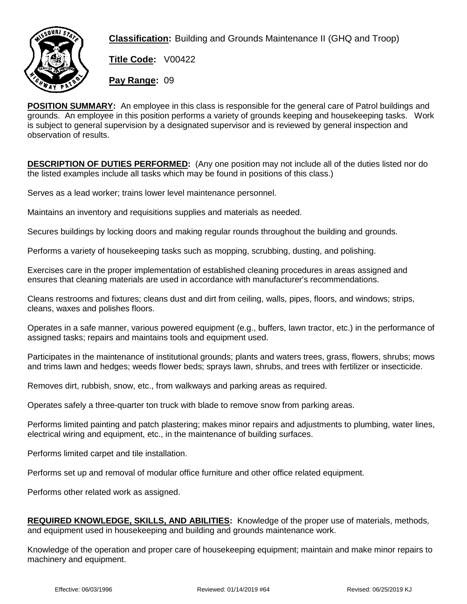

**Classification:** Building and Grounds Maintenance II (GHQ and Troop)

**Title Code:** V00422

**Pay Range:** 09

**POSITION SUMMARY:** An employee in this class is responsible for the general care of Patrol buildings and grounds. An employee in this position performs a variety of grounds keeping and housekeeping tasks. Work is subject to general supervision by a designated supervisor and is reviewed by general inspection and observation of results.

**DESCRIPTION OF DUTIES PERFORMED:** (Any one position may not include all of the duties listed nor do the listed examples include all tasks which may be found in positions of this class.)

Serves as a lead worker; trains lower level maintenance personnel.

Maintains an inventory and requisitions supplies and materials as needed.

Secures buildings by locking doors and making regular rounds throughout the building and grounds.

Performs a variety of housekeeping tasks such as mopping, scrubbing, dusting, and polishing.

Exercises care in the proper implementation of established cleaning procedures in areas assigned and ensures that cleaning materials are used in accordance with manufacturer's recommendations.

Cleans restrooms and fixtures; cleans dust and dirt from ceiling, walls, pipes, floors, and windows; strips, cleans, waxes and polishes floors.

Operates in a safe manner, various powered equipment (e.g., buffers, lawn tractor, etc.) in the performance of assigned tasks; repairs and maintains tools and equipment used.

Participates in the maintenance of institutional grounds; plants and waters trees, grass, flowers, shrubs; mows and trims lawn and hedges; weeds flower beds; sprays lawn, shrubs, and trees with fertilizer or insecticide.

Removes dirt, rubbish, snow, etc., from walkways and parking areas as required.

Operates safely a three-quarter ton truck with blade to remove snow from parking areas.

Performs limited painting and patch plastering; makes minor repairs and adjustments to plumbing, water lines, electrical wiring and equipment, etc., in the maintenance of building surfaces.

Performs limited carpet and tile installation.

Performs set up and removal of modular office furniture and other office related equipment.

Performs other related work as assigned.

**REQUIRED KNOWLEDGE, SKILLS, AND ABILITIES:** Knowledge of the proper use of materials, methods, and equipment used in housekeeping and building and grounds maintenance work.

Knowledge of the operation and proper care of housekeeping equipment; maintain and make minor repairs to machinery and equipment.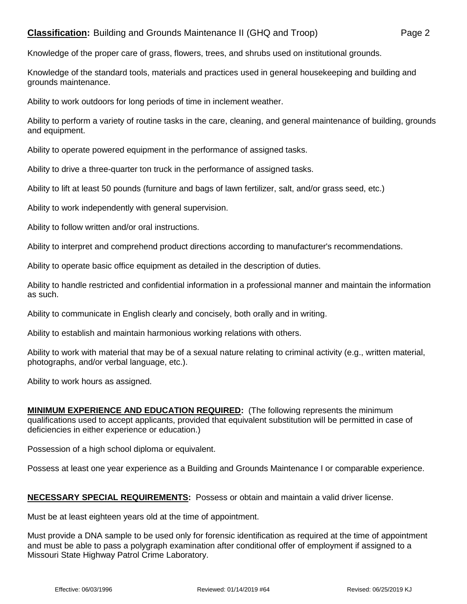Knowledge of the proper care of grass, flowers, trees, and shrubs used on institutional grounds.

Knowledge of the standard tools, materials and practices used in general housekeeping and building and grounds maintenance.

Ability to work outdoors for long periods of time in inclement weather.

Ability to perform a variety of routine tasks in the care, cleaning, and general maintenance of building, grounds and equipment.

Ability to operate powered equipment in the performance of assigned tasks.

Ability to drive a three-quarter ton truck in the performance of assigned tasks.

Ability to lift at least 50 pounds (furniture and bags of lawn fertilizer, salt, and/or grass seed, etc.)

Ability to work independently with general supervision.

Ability to follow written and/or oral instructions.

Ability to interpret and comprehend product directions according to manufacturer's recommendations.

Ability to operate basic office equipment as detailed in the description of duties.

Ability to handle restricted and confidential information in a professional manner and maintain the information as such.

Ability to communicate in English clearly and concisely, both orally and in writing.

Ability to establish and maintain harmonious working relations with others.

Ability to work with material that may be of a sexual nature relating to criminal activity (e.g., written material, photographs, and/or verbal language, etc.).

Ability to work hours as assigned.

**MINIMUM EXPERIENCE AND EDUCATION REQUIRED:** (The following represents the minimum qualifications used to accept applicants, provided that equivalent substitution will be permitted in case of deficiencies in either experience or education.)

Possession of a high school diploma or equivalent.

Possess at least one year experience as a Building and Grounds Maintenance I or comparable experience.

## **NECESSARY SPECIAL REQUIREMENTS:** Possess or obtain and maintain a valid driver license.

Must be at least eighteen years old at the time of appointment.

Must provide a DNA sample to be used only for forensic identification as required at the time of appointment and must be able to pass a polygraph examination after conditional offer of employment if assigned to a Missouri State Highway Patrol Crime Laboratory.